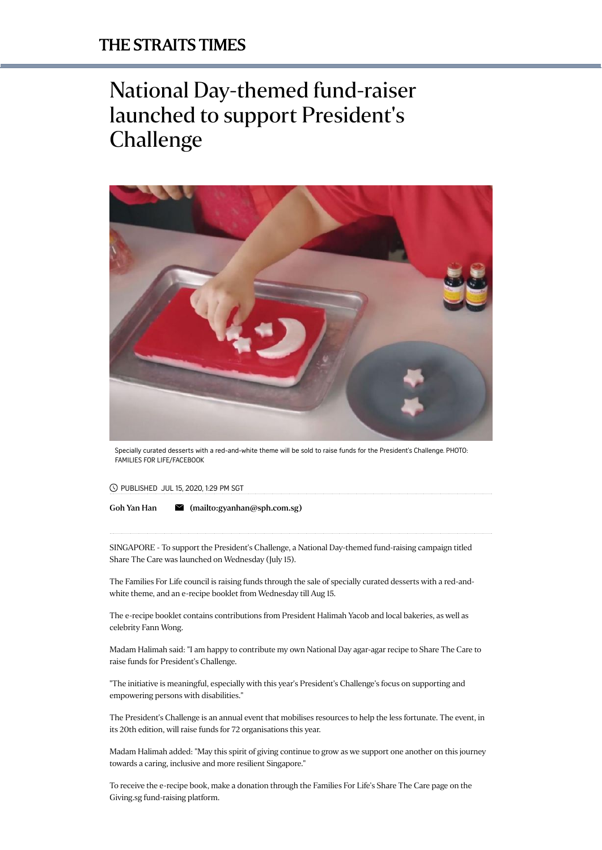## National Day-themed fund-raiser launched to support President's Challenge



Specially curated desserts with a red-and-white theme will be sold to raise funds for the President's Challenge. PHOTO: FAMILIES FOR LIFE/FACEBOOK

PUBLISHED JUL 15, 2020, 1:29 PM SGT

Goh Yan [Han](https://www.straitstimes.com/authors/goh-yan-han)  $\blacksquare$  [\(mailto:gyanhan@sph.com.sg\)](mailto:gyanhan@sph.com.sg)

SINGAPORE - To support the President's Challenge, a National Day-themed fund-raising campaign titled Share The Care was launched on Wednesday (July 15).

The Families For Life council is raising funds through the sale of specially curated desserts with a red-andwhite theme, and an e-recipe booklet from Wednesday till Aug 15.

The e-recipe booklet contains contributions from President Halimah Yacob and local bakeries, as well as celebrity Fann Wong.

Madam Halimah said: "I am happy to contribute my own National Day agar-agar recipe to Share The Care to raise funds for President's Challenge.

"The initiative is meaningful, especially with this year's President's Challenge's focus on supporting and empowering persons with disabilities."

The President's Challenge is an annual event that mobilises resources to help the less fortunate. The event, in its 20th edition, will raise funds for 72 organisations this year.

Madam Halimah added: "May this spirit of giving continue to grow as we support one another on this journey towards a caring, inclusive and more resilient Singapore."

To receive the e-recipe book, make a donation through [the Families For Life's Share The Care page](https://www.giving.sg/president-s-challenge/fflstc) on the Giving.sg fund-raising platform.